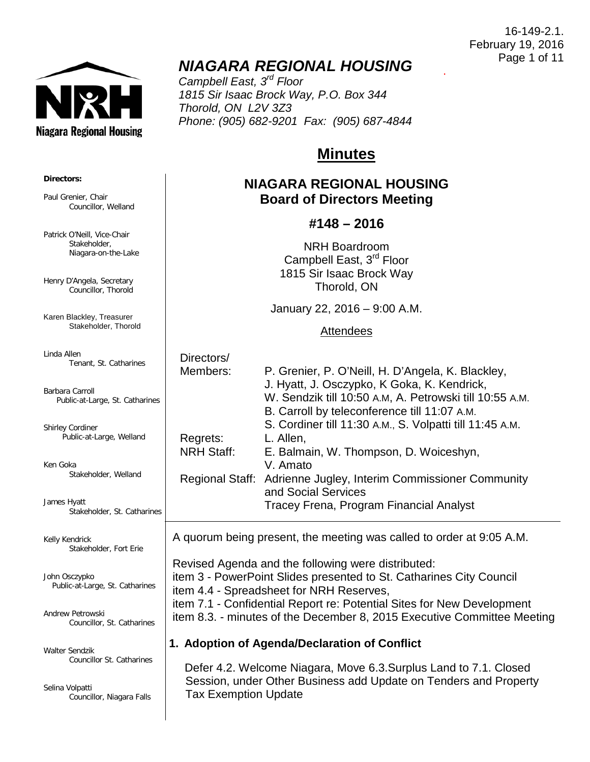**Niagara Regional Housing** 

.

## *NIAGARA REGIONAL HOUSING*

*Campbell East, 3rd Floor 1815 Sir Isaac Brock Way, P.O. Box 344 Thorold, ON L2V 3Z3 Phone: (905) 682-9201 Fax: (905) 687-4844*

# **Minutes**

### **NIAGARA REGIONAL HOUSING Board of Directors Meeting**

### **#148 – 2016**

NRH Boardroom Campbell East, 3rd Floor 1815 Sir Isaac Brock Way Thorold, ON

January 22, 2016 – 9:00 A.M.

#### **Attendees**

| Directors/        |                                                                 |
|-------------------|-----------------------------------------------------------------|
| Members:          | P. Grenier, P. O'Neill, H. D'Angela, K. Blackley,               |
|                   | J. Hyatt, J. Osczypko, K Goka, K. Kendrick,                     |
|                   | W. Sendzik till 10:50 A.M, A. Petrowski till 10:55 A.M.         |
|                   | B. Carroll by teleconference till 11:07 A.M.                    |
|                   | S. Cordiner till 11:30 A.M., S. Volpatti till 11:45 A.M.        |
| Regrets:          | L. Allen,                                                       |
| <b>NRH Staff:</b> | E. Balmain, W. Thompson, D. Woiceshyn,                          |
|                   | V. Amato                                                        |
|                   | Regional Staff: Adrienne Jugley, Interim Commissioner Community |
|                   | and Social Services                                             |
|                   | Tracey Frena, Program Financial Analyst                         |
|                   |                                                                 |

A quorum being present, the meeting was called to order at 9:05 A.M.

 Revised Agenda and the following were distributed: item 3 - PowerPoint Slides presented to St. Catharines City Council item 4.4 - Spreadsheet for NRH Reserves, item 7.1 - Confidential Report re: Potential Sites for New Development item 8.3. - minutes of the December 8, 2015 Executive Committee Meeting

### **1. Adoption of Agenda/Declaration of Conflict**

 Defer 4.2. Welcome Niagara, Move 6.3.Surplus Land to 7.1. Closed Session, under Other Business add Update on Tenders and Property Tax Exemption Update

#### **Directors:**

Paul Grenier, Chair Councillor, Welland

Patrick O'Neill, Vice-Chair Stakeholder, Niagara-on-the-Lake

Henry D'Angela, Secretary Councillor, Thorold

Karen Blackley, Treasurer Stakeholder, Thorold

Linda Allen Tenant, St. Catharines

Barbara Carroll Public-at-Large, St. Catharines

Shirley Cordiner Public-at-Large, Welland

Ken Goka Stakeholder, Welland

James Hyatt Stakeholder, St. Catharines

Kelly Kendrick Stakeholder, Fort Erie

John Osczypko Public-at-Large, St. Catharines

Andrew Petrowski Councillor, St. Catharines

Walter Sendzik Councillor St. Catharines

Selina Volpatti Councillor, Niagara Falls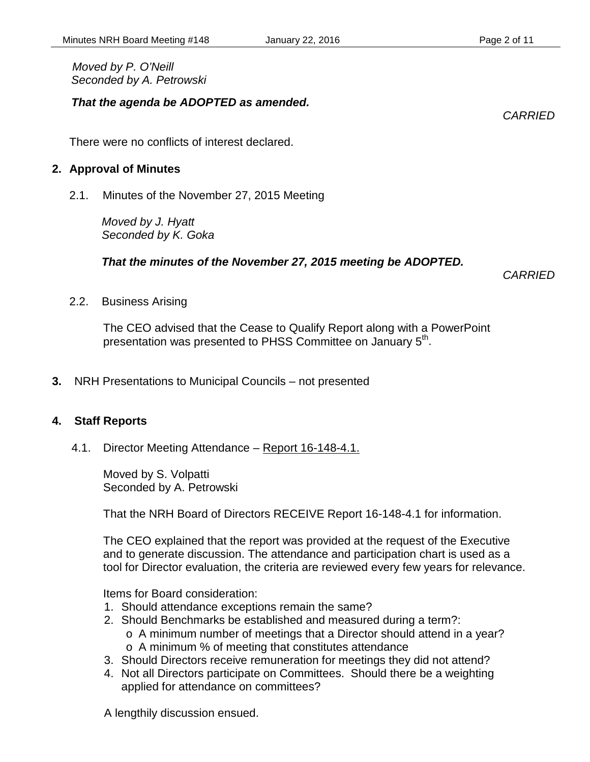#### *That the agenda be ADOPTED as amended.*

There were no conflicts of interest declared.

#### **2. Approval of Minutes**

2.1. Minutes of the November 27, 2015 Meeting

*Moved by J. Hyatt Seconded by K. Goka*

#### *That the minutes of the November 27, 2015 meeting be ADOPTED.*

*CARRIED*

2.2. Business Arising

The CEO advised that the Cease to Qualify Report along with a PowerPoint presentation was presented to PHSS Committee on January 5<sup>th</sup>.

**3.** NRH Presentations to Municipal Councils – not presented

#### **4. Staff Reports**

4.1. Director Meeting Attendance – Report 16-148-4.1.

Moved by S. Volpatti Seconded by A. Petrowski

That the NRH Board of Directors RECEIVE Report 16-148-4.1 for information.

The CEO explained that the report was provided at the request of the Executive and to generate discussion. The attendance and participation chart is used as a tool for Director evaluation, the criteria are reviewed every few years for relevance.

Items for Board consideration:

- 1. Should attendance exceptions remain the same?
- 2. Should Benchmarks be established and measured during a term?:
	- o A minimum number of meetings that a Director should attend in a year?
	- o A minimum % of meeting that constitutes attendance
- 3. Should Directors receive remuneration for meetings they did not attend?
- 4. Not all Directors participate on Committees. Should there be a weighting applied for attendance on committees?

A lengthily discussion ensued.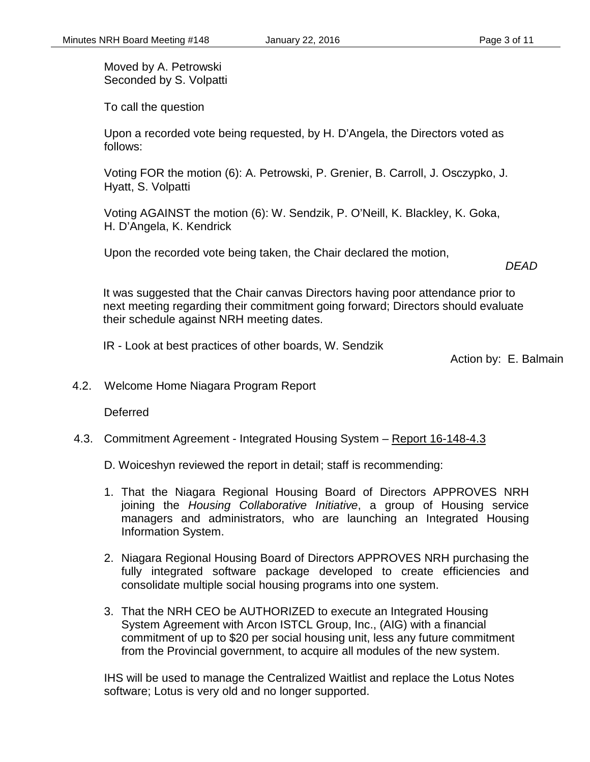Moved by A. Petrowski Seconded by S. Volpatti

To call the question

Upon a recorded vote being requested, by H. D'Angela, the Directors voted as follows:

Voting FOR the motion (6): A. Petrowski, P. Grenier, B. Carroll, J. Osczypko, J. Hyatt, S. Volpatti

Voting AGAINST the motion (6): W. Sendzik, P. O'Neill, K. Blackley, K. Goka, H. D'Angela, K. Kendrick

Upon the recorded vote being taken, the Chair declared the motion,

*DEAD*

It was suggested that the Chair canvas Directors having poor attendance prior to next meeting regarding their commitment going forward; Directors should evaluate their schedule against NRH meeting dates.

IR - Look at best practices of other boards, W. Sendzik

Action by: E. Balmain

4.2. Welcome Home Niagara Program Report

Deferred

4.3. Commitment Agreement - Integrated Housing System – Report 16-148-4.3

D. Woiceshyn reviewed the report in detail; staff is recommending:

- 1. That the Niagara Regional Housing Board of Directors APPROVES NRH joining the *Housing Collaborative Initiative*, a group of Housing service managers and administrators, who are launching an Integrated Housing Information System.
- 2. Niagara Regional Housing Board of Directors APPROVES NRH purchasing the fully integrated software package developed to create efficiencies and consolidate multiple social housing programs into one system.
- 3. That the NRH CEO be AUTHORIZED to execute an Integrated Housing System Agreement with Arcon ISTCL Group, Inc., (AIG) with a financial commitment of up to \$20 per social housing unit, less any future commitment from the Provincial government, to acquire all modules of the new system.

IHS will be used to manage the Centralized Waitlist and replace the Lotus Notes software; Lotus is very old and no longer supported.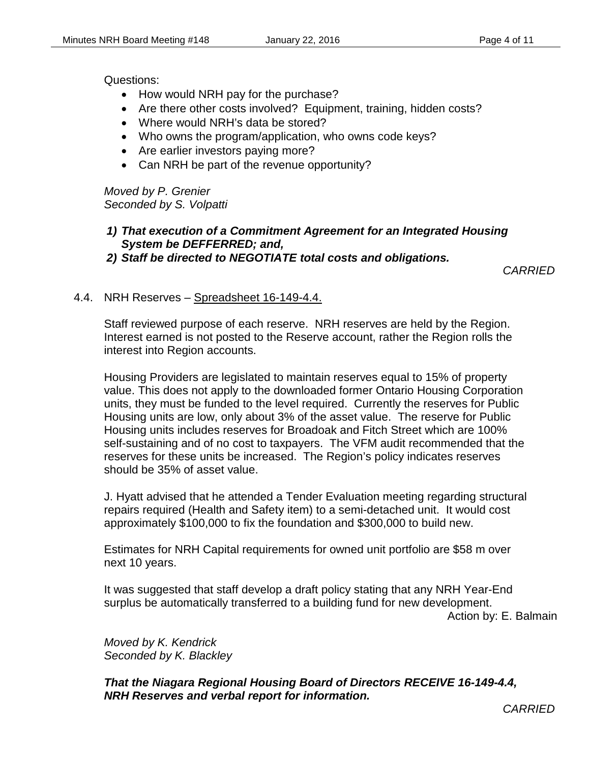Questions:

- How would NRH pay for the purchase?
- Are there other costs involved? Equipment, training, hidden costs?
- Where would NRH's data be stored?
- Who owns the program/application, who owns code keys?
- Are earlier investors paying more?
- Can NRH be part of the revenue opportunity?

*Moved by P. Grenier Seconded by S. Volpatti*

### *1) That execution of a Commitment Agreement for an Integrated Housing System be DEFFERRED; and,*

*2) Staff be directed to NEGOTIATE total costs and obligations.*

*CARRIED*

#### 4.4. NRH Reserves – Spreadsheet 16-149-4.4.

Staff reviewed purpose of each reserve. NRH reserves are held by the Region. Interest earned is not posted to the Reserve account, rather the Region rolls the interest into Region accounts.

Housing Providers are legislated to maintain reserves equal to 15% of property value. This does not apply to the downloaded former Ontario Housing Corporation units, they must be funded to the level required. Currently the reserves for Public Housing units are low, only about 3% of the asset value. The reserve for Public Housing units includes reserves for Broadoak and Fitch Street which are 100% self-sustaining and of no cost to taxpayers. The VFM audit recommended that the reserves for these units be increased. The Region's policy indicates reserves should be 35% of asset value.

J. Hyatt advised that he attended a Tender Evaluation meeting regarding structural repairs required (Health and Safety item) to a semi-detached unit. It would cost approximately \$100,000 to fix the foundation and \$300,000 to build new.

Estimates for NRH Capital requirements for owned unit portfolio are \$58 m over next 10 years.

It was suggested that staff develop a draft policy stating that any NRH Year-End surplus be automatically transferred to a building fund for new development. Action by: E. Balmain

*Moved by K. Kendrick Seconded by K. Blackley*

*That the Niagara Regional Housing Board of Directors RECEIVE 16-149-4.4, NRH Reserves and verbal report for information.*

*CARRIED*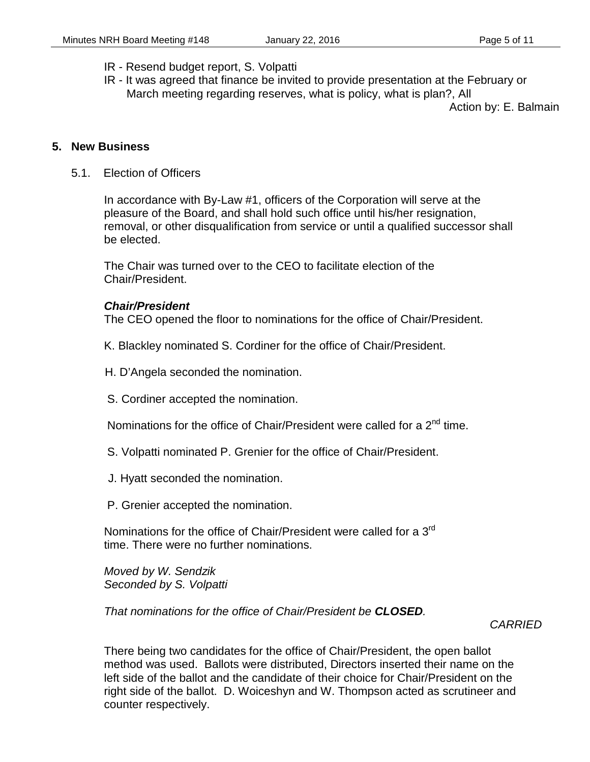- IR Resend budget report, S. Volpatti
- IR It was agreed that finance be invited to provide presentation at the February or March meeting regarding reserves, what is policy, what is plan?, All

Action by: E. Balmain

#### **5. New Business**

5.1. Election of Officers

In accordance with By-Law #1, officers of the Corporation will serve at the pleasure of the Board, and shall hold such office until his/her resignation, removal, or other disqualification from service or until a qualified successor shall be elected.

The Chair was turned over to the CEO to facilitate election of the Chair/President.

#### *Chair/President*

The CEO opened the floor to nominations for the office of Chair/President.

- K. Blackley nominated S. Cordiner for the office of Chair/President.
- H. D'Angela seconded the nomination.
- S. Cordiner accepted the nomination.

Nominations for the office of Chair/President were called for a  $2<sup>nd</sup>$  time.

- S. Volpatti nominated P. Grenier for the office of Chair/President.
- J. Hyatt seconded the nomination.
- P. Grenier accepted the nomination.

Nominations for the office of Chair/President were called for a 3<sup>rd</sup> time. There were no further nominations.

*Moved by W. Sendzik Seconded by S. Volpatti*

*That nominations for the office of Chair/President be CLOSED.*

#### *CARRIED*

There being two candidates for the office of Chair/President, the open ballot method was used. Ballots were distributed, Directors inserted their name on the left side of the ballot and the candidate of their choice for Chair/President on the right side of the ballot. D. Woiceshyn and W. Thompson acted as scrutineer and counter respectively.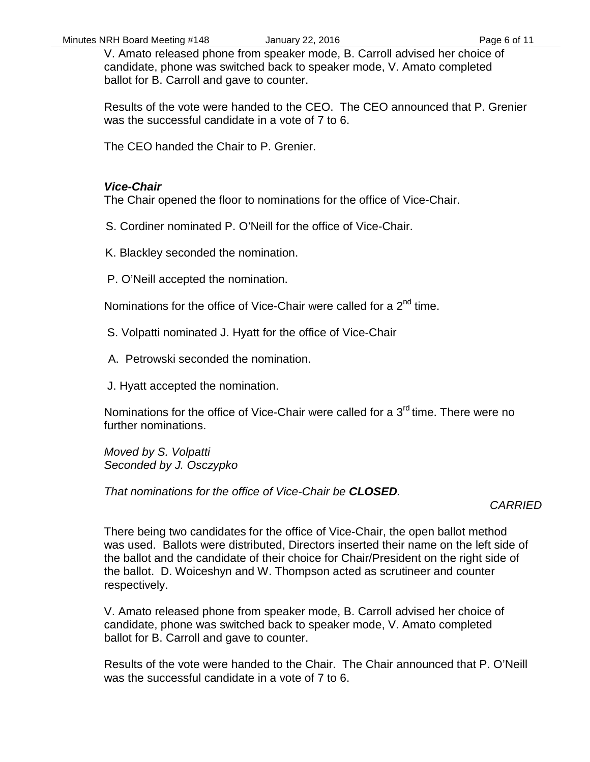V. Amato released phone from speaker mode, B. Carroll advised her choice of candidate, phone was switched back to speaker mode, V. Amato completed ballot for B. Carroll and gave to counter.

Results of the vote were handed to the CEO. The CEO announced that P. Grenier was the successful candidate in a vote of 7 to 6.

The CEO handed the Chair to P. Grenier.

#### *Vice-Chair*

The Chair opened the floor to nominations for the office of Vice-Chair.

- S. Cordiner nominated P. O'Neill for the office of Vice-Chair.
- K. Blackley seconded the nomination.
- P. O'Neill accepted the nomination.

Nominations for the office of Vice-Chair were called for a 2<sup>nd</sup> time.

- S. Volpatti nominated J. Hyatt for the office of Vice-Chair
- A. Petrowski seconded the nomination.
- J. Hyatt accepted the nomination.

Nominations for the office of Vice-Chair were called for a  $3<sup>rd</sup>$  time. There were no further nominations.

*Moved by S. Volpatti Seconded by J. Osczypko*

*That nominations for the office of Vice-Chair be CLOSED.*

### *CARRIED*

There being two candidates for the office of Vice-Chair, the open ballot method was used. Ballots were distributed, Directors inserted their name on the left side of the ballot and the candidate of their choice for Chair/President on the right side of the ballot. D. Woiceshyn and W. Thompson acted as scrutineer and counter respectively.

V. Amato released phone from speaker mode, B. Carroll advised her choice of candidate, phone was switched back to speaker mode, V. Amato completed ballot for B. Carroll and gave to counter.

Results of the vote were handed to the Chair. The Chair announced that P. O'Neill was the successful candidate in a vote of 7 to 6.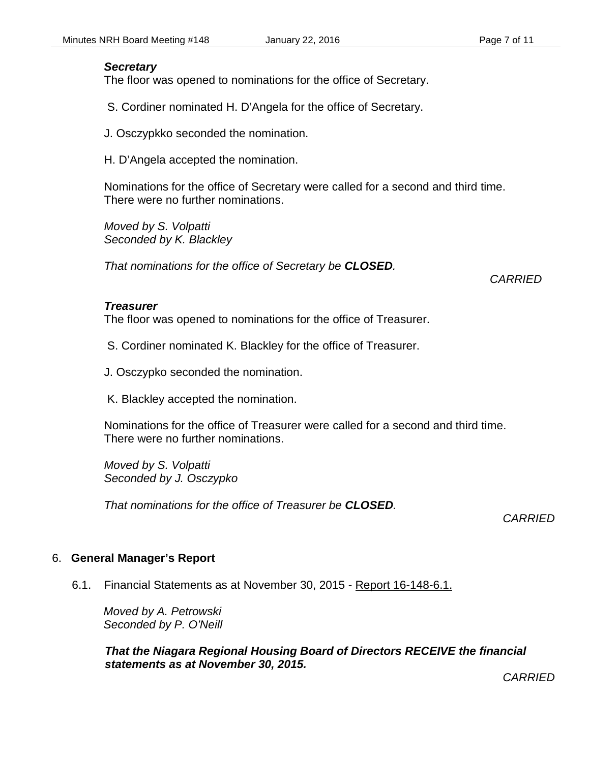#### *Secretary*

The floor was opened to nominations for the office of Secretary.

S. Cordiner nominated H. D'Angela for the office of Secretary.

J. Osczypkko seconded the nomination.

H. D'Angela accepted the nomination.

Nominations for the office of Secretary were called for a second and third time. There were no further nominations.

*Moved by S. Volpatti Seconded by K. Blackley*

*That nominations for the office of Secretary be CLOSED.*

*CARRIED*

#### *Treasurer*

The floor was opened to nominations for the office of Treasurer.

- S. Cordiner nominated K. Blackley for the office of Treasurer.
- J. Osczypko seconded the nomination.

K. Blackley accepted the nomination.

Nominations for the office of Treasurer were called for a second and third time. There were no further nominations.

*Moved by S. Volpatti Seconded by J. Osczypko*

*That nominations for the office of Treasurer be CLOSED.*

*CARRIED*

#### 6. **General Manager's Report**

6.1. Financial Statements as at November 30, 2015 - Report 16-148-6.1.

*Moved by A. Petrowski Seconded by P. O'Neill*

*That the Niagara Regional Housing Board of Directors RECEIVE the financial statements as at November 30, 2015.*

*CARRIED*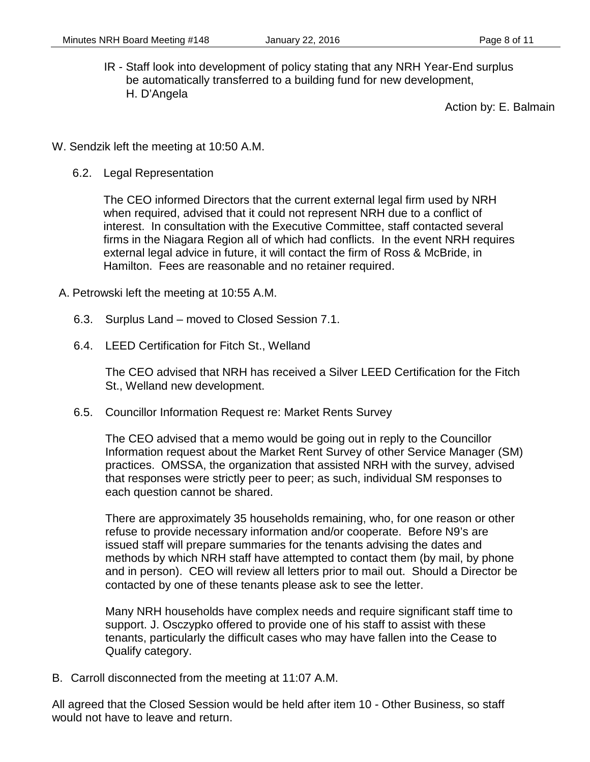IR - Staff look into development of policy stating that any NRH Year-End surplus be automatically transferred to a building fund for new development, H. D'Angela

Action by: E. Balmain

- W. Sendzik left the meeting at 10:50 A.M.
	- 6.2. Legal Representation

The CEO informed Directors that the current external legal firm used by NRH when required, advised that it could not represent NRH due to a conflict of interest. In consultation with the Executive Committee, staff contacted several firms in the Niagara Region all of which had conflicts. In the event NRH requires external legal advice in future, it will contact the firm of Ross & McBride, in Hamilton. Fees are reasonable and no retainer required.

- A. Petrowski left the meeting at 10:55 A.M.
	- 6.3. Surplus Land moved to Closed Session 7.1.
	- 6.4. LEED Certification for Fitch St., Welland

The CEO advised that NRH has received a Silver LEED Certification for the Fitch St., Welland new development.

6.5. Councillor Information Request re: Market Rents Survey

The CEO advised that a memo would be going out in reply to the Councillor Information request about the Market Rent Survey of other Service Manager (SM) practices. OMSSA, the organization that assisted NRH with the survey, advised that responses were strictly peer to peer; as such, individual SM responses to each question cannot be shared.

There are approximately 35 households remaining, who, for one reason or other refuse to provide necessary information and/or cooperate. Before N9's are issued staff will prepare summaries for the tenants advising the dates and methods by which NRH staff have attempted to contact them (by mail, by phone and in person). CEO will review all letters prior to mail out. Should a Director be contacted by one of these tenants please ask to see the letter.

Many NRH households have complex needs and require significant staff time to support. J. Osczypko offered to provide one of his staff to assist with these tenants, particularly the difficult cases who may have fallen into the Cease to Qualify category.

B. Carroll disconnected from the meeting at 11:07 A.M.

All agreed that the Closed Session would be held after item 10 - Other Business, so staff would not have to leave and return.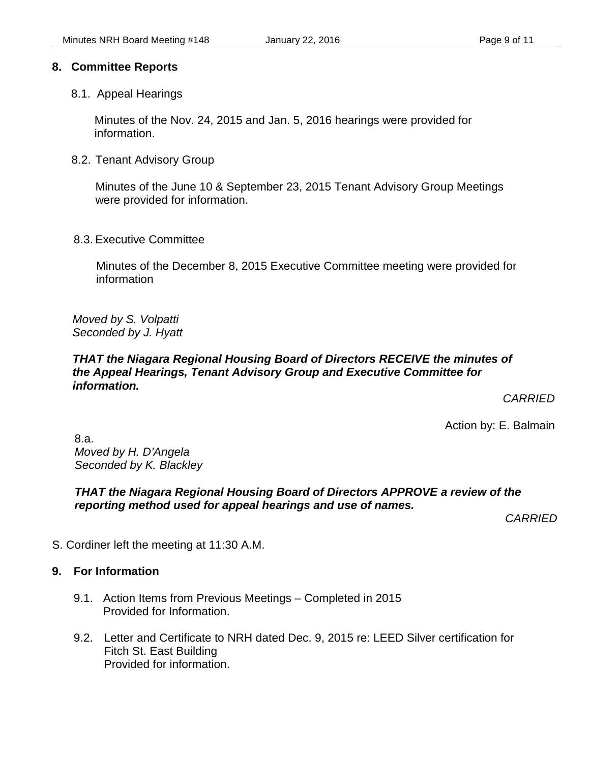#### **8. Committee Reports**

8.1. Appeal Hearings

Minutes of the Nov. 24, 2015 and Jan. 5, 2016 hearings were provided for information.

8.2. Tenant Advisory Group

Minutes of the June 10 & September 23, 2015 Tenant Advisory Group Meetings were provided for information.

8.3. Executive Committee

Minutes of the December 8, 2015 Executive Committee meeting were provided for information

*Moved by S. Volpatti Seconded by J. Hyatt*

#### *THAT the Niagara Regional Housing Board of Directors RECEIVE the minutes of the Appeal Hearings, Tenant Advisory Group and Executive Committee for information.*

*CARRIED*

Action by: E. Balmain

8.a. *Moved by H. D'Angela Seconded by K. Blackley*

#### *THAT the Niagara Regional Housing Board of Directors APPROVE a review of the reporting method used for appeal hearings and use of names.*

*CARRIED*

S. Cordiner left the meeting at 11:30 A.M.

#### **9. For Information**

- 9.1. Action Items from Previous Meetings Completed in 2015 Provided for Information.
- 9.2. Letter and Certificate to NRH dated Dec. 9, 2015 re: LEED Silver certification for Fitch St. East Building Provided for information.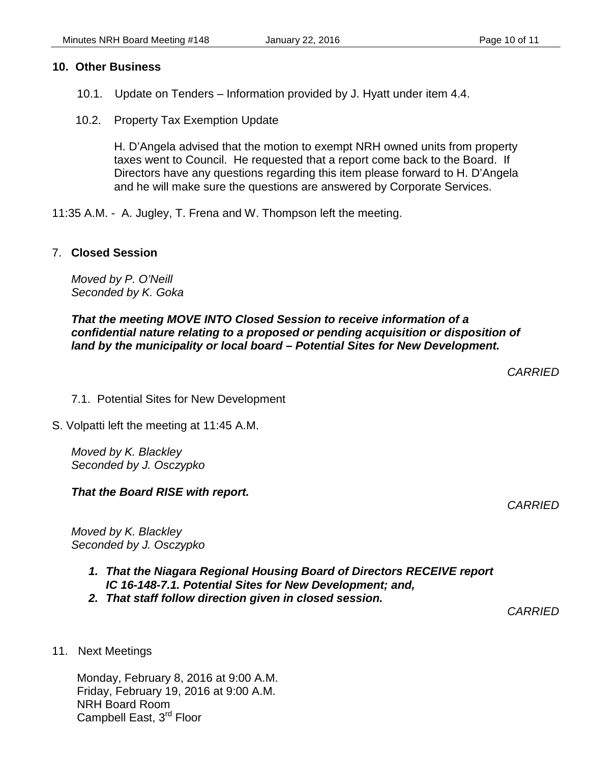#### **10. Other Business**

- 10.1. Update on Tenders Information provided by J. Hyatt under item 4.4.
- 10.2. Property Tax Exemption Update

H. D'Angela advised that the motion to exempt NRH owned units from property taxes went to Council. He requested that a report come back to the Board. If Directors have any questions regarding this item please forward to H. D'Angela and he will make sure the questions are answered by Corporate Services.

11:35 A.M. - A. Jugley, T. Frena and W. Thompson left the meeting.

#### 7. **Closed Session**

*Moved by P. O'Neill Seconded by K. Goka*

#### *That the meeting MOVE INTO Closed Session to receive information of a confidential nature relating to a proposed or pending acquisition or disposition of land by the municipality or local board – Potential Sites for New Development.*

*CARRIED*

- 7.1. Potential Sites for New Development
- S. Volpatti left the meeting at 11:45 A.M.

*Moved by K. Blackley Seconded by J. Osczypko*

*That the Board RISE with report.*

*CARRIED*

*Moved by K. Blackley Seconded by J. Osczypko*

- *1. That the Niagara Regional Housing Board of Directors RECEIVE report IC 16-148-7.1. Potential Sites for New Development; and,*
- *2. That staff follow direction given in closed session.*

*CARRIED*

11. Next Meetings

Monday, February 8, 2016 at 9:00 A.M. Friday, February 19, 2016 at 9:00 A.M. NRH Board Room Campbell East, 3<sup>rd</sup> Floor